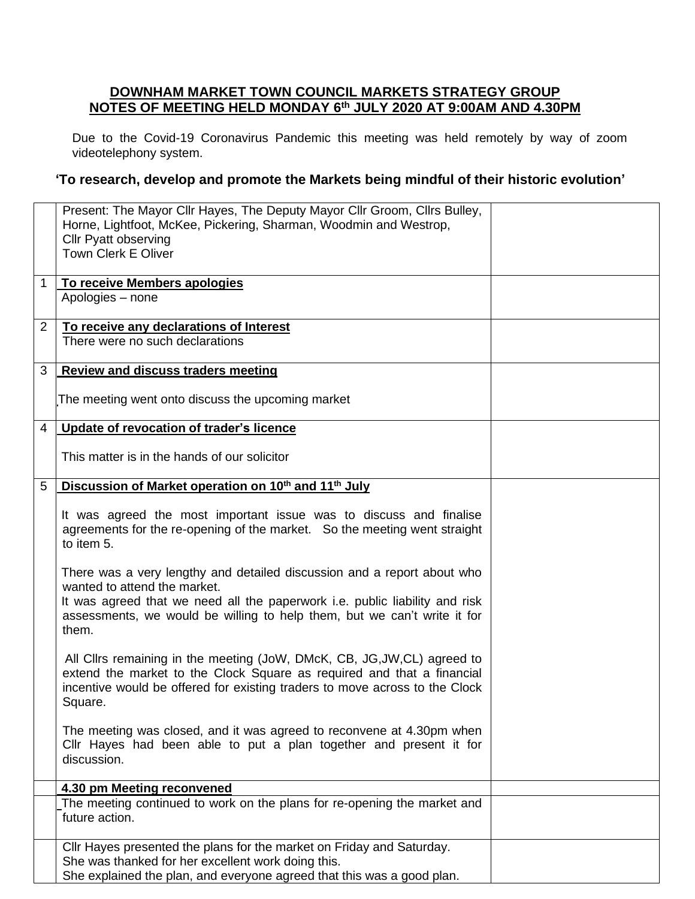## **DOWNHAM MARKET TOWN COUNCIL MARKETS STRATEGY GROUP NOTES OF MEETING HELD MONDAY 6 th JULY 2020 AT 9:00AM AND 4.30PM**

Due to the Covid-19 Coronavirus Pandemic this meeting was held remotely by way of zoom videotelephony system.

## **'To research, develop and promote the Markets being mindful of their historic evolution'**

|                | Present: The Mayor Cllr Hayes, The Deputy Mayor Cllr Groom, Cllrs Bulley,<br>Horne, Lightfoot, McKee, Pickering, Sharman, Woodmin and Westrop,                                                                                                                              |  |
|----------------|-----------------------------------------------------------------------------------------------------------------------------------------------------------------------------------------------------------------------------------------------------------------------------|--|
|                | <b>Cllr Pyatt observing</b><br><b>Town Clerk E Oliver</b>                                                                                                                                                                                                                   |  |
| 1.             | To receive Members apologies                                                                                                                                                                                                                                                |  |
|                | Apologies - none                                                                                                                                                                                                                                                            |  |
| $\overline{2}$ | To receive any declarations of Interest                                                                                                                                                                                                                                     |  |
|                | There were no such declarations                                                                                                                                                                                                                                             |  |
| 3              | <b>Review and discuss traders meeting</b>                                                                                                                                                                                                                                   |  |
|                | The meeting went onto discuss the upcoming market                                                                                                                                                                                                                           |  |
| 4              | Update of revocation of trader's licence                                                                                                                                                                                                                                    |  |
|                | This matter is in the hands of our solicitor                                                                                                                                                                                                                                |  |
| 5              | Discussion of Market operation on 10 <sup>th</sup> and 11 <sup>th</sup> July                                                                                                                                                                                                |  |
|                | It was agreed the most important issue was to discuss and finalise<br>agreements for the re-opening of the market. So the meeting went straight<br>to item 5.                                                                                                               |  |
|                | There was a very lengthy and detailed discussion and a report about who<br>wanted to attend the market.<br>It was agreed that we need all the paperwork i.e. public liability and risk<br>assessments, we would be willing to help them, but we can't write it for<br>them. |  |
|                | All Cllrs remaining in the meeting (JoW, DMcK, CB, JG, JW, CL) agreed to<br>extend the market to the Clock Square as required and that a financial<br>incentive would be offered for existing traders to move across to the Clock<br>Square.                                |  |
|                | The meeting was closed, and it was agreed to reconvene at 4.30pm when<br>Cllr Hayes had been able to put a plan together and present it for<br>discussion.                                                                                                                  |  |
|                | 4.30 pm Meeting reconvened                                                                                                                                                                                                                                                  |  |
|                | The meeting continued to work on the plans for re-opening the market and<br>future action.                                                                                                                                                                                  |  |
|                | Cllr Hayes presented the plans for the market on Friday and Saturday.<br>She was thanked for her excellent work doing this.<br>She explained the plan, and everyone agreed that this was a good plan.                                                                       |  |